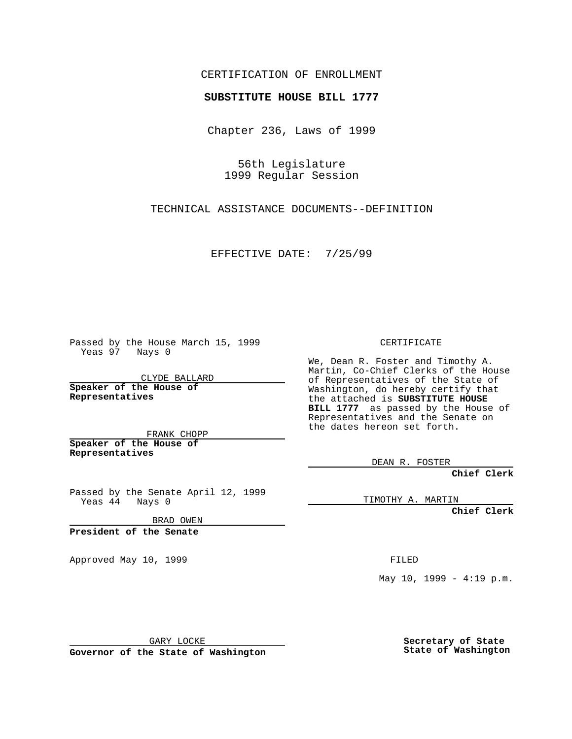## CERTIFICATION OF ENROLLMENT

## **SUBSTITUTE HOUSE BILL 1777**

Chapter 236, Laws of 1999

56th Legislature 1999 Regular Session

TECHNICAL ASSISTANCE DOCUMENTS--DEFINITION

EFFECTIVE DATE: 7/25/99

Passed by the House March 15, 1999 Yeas 97 Nays 0

CLYDE BALLARD **Speaker of the House of Representatives**

FRANK CHOPP **Speaker of the House of Representatives**

Passed by the Senate April 12, 1999 Yeas 44 Nays 0

BRAD OWEN

**President of the Senate**

Approved May 10, 1999 **FILED** 

CERTIFICATE

We, Dean R. Foster and Timothy A. Martin, Co-Chief Clerks of the House of Representatives of the State of Washington, do hereby certify that the attached is **SUBSTITUTE HOUSE BILL 1777** as passed by the House of Representatives and the Senate on the dates hereon set forth.

DEAN R. FOSTER

**Chief Clerk**

TIMOTHY A. MARTIN

**Chief Clerk**

May  $10$ ,  $1999 - 4:19$  p.m.

GARY LOCKE

**Governor of the State of Washington**

**Secretary of State State of Washington**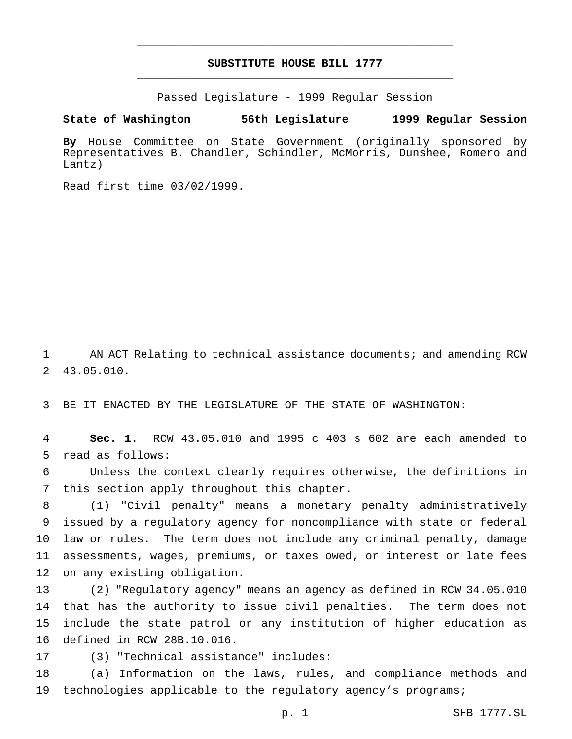## **SUBSTITUTE HOUSE BILL 1777** \_\_\_\_\_\_\_\_\_\_\_\_\_\_\_\_\_\_\_\_\_\_\_\_\_\_\_\_\_\_\_\_\_\_\_\_\_\_\_\_\_\_\_\_\_\_\_

\_\_\_\_\_\_\_\_\_\_\_\_\_\_\_\_\_\_\_\_\_\_\_\_\_\_\_\_\_\_\_\_\_\_\_\_\_\_\_\_\_\_\_\_\_\_\_

Passed Legislature - 1999 Regular Session

**State of Washington 56th Legislature 1999 Regular Session**

**By** House Committee on State Government (originally sponsored by Representatives B. Chandler, Schindler, McMorris, Dunshee, Romero and Lantz)

Read first time 03/02/1999.

 AN ACT Relating to technical assistance documents; and amending RCW 43.05.010.

BE IT ENACTED BY THE LEGISLATURE OF THE STATE OF WASHINGTON:

 **Sec. 1.** RCW 43.05.010 and 1995 c 403 s 602 are each amended to read as follows:

 Unless the context clearly requires otherwise, the definitions in this section apply throughout this chapter.

 (1) "Civil penalty" means a monetary penalty administratively issued by a regulatory agency for noncompliance with state or federal law or rules. The term does not include any criminal penalty, damage assessments, wages, premiums, or taxes owed, or interest or late fees on any existing obligation.

 (2) "Regulatory agency" means an agency as defined in RCW 34.05.010 that has the authority to issue civil penalties. The term does not include the state patrol or any institution of higher education as defined in RCW 28B.10.016.

(3) "Technical assistance" includes:

 (a) Information on the laws, rules, and compliance methods and technologies applicable to the regulatory agency's programs;